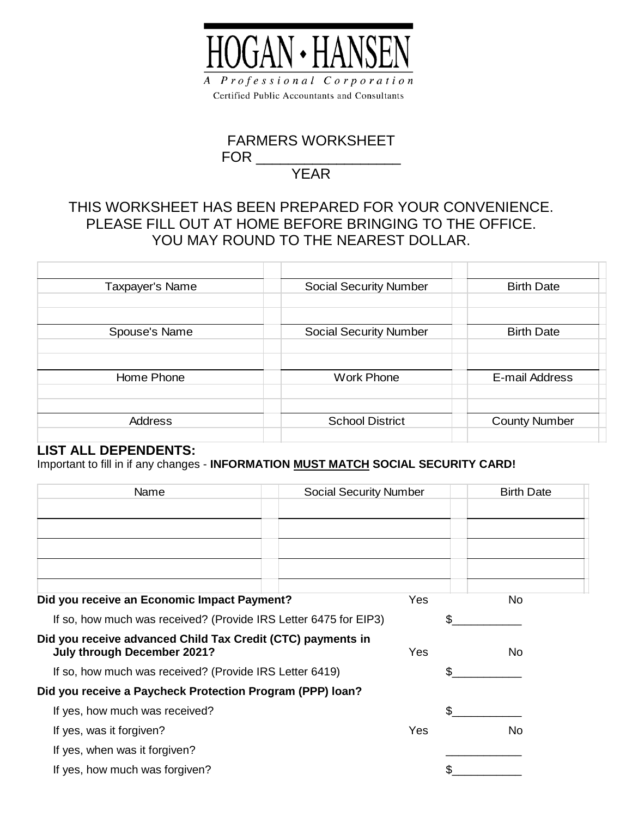

## FARMERS WORKSHEET  $FOR$   $\_$

## YEAR

## THIS WORKSHEET HAS BEEN PREPARED FOR YOUR CONVENIENCE. PLEASE FILL OUT AT HOME BEFORE BRINGING TO THE OFFICE. YOU MAY ROUND TO THE NEAREST DOLLAR.

| Taxpayer's Name | <b>Social Security Number</b> | <b>Birth Date</b>    |
|-----------------|-------------------------------|----------------------|
|                 |                               |                      |
|                 |                               |                      |
| Spouse's Name   | <b>Social Security Number</b> | <b>Birth Date</b>    |
|                 |                               |                      |
|                 |                               |                      |
| Home Phone      | <b>Work Phone</b>             | E-mail Address       |
|                 |                               |                      |
|                 |                               |                      |
| <b>Address</b>  | <b>School District</b>        | <b>County Number</b> |
|                 |                               |                      |

#### **LIST ALL DEPENDENTS:**

Important to fill in if any changes - **INFORMATION MUST MATCH SOCIAL SECURITY CARD!**

| Name                                                                                       | <b>Social Security Number</b> | <b>Birth Date</b> |
|--------------------------------------------------------------------------------------------|-------------------------------|-------------------|
|                                                                                            |                               |                   |
|                                                                                            |                               |                   |
|                                                                                            |                               |                   |
|                                                                                            |                               |                   |
|                                                                                            |                               |                   |
| Did you receive an Economic Impact Payment?                                                | Yes                           | No.               |
| If so, how much was received? (Provide IRS Letter 6475 for EIP3)                           |                               | \$                |
| Did you receive advanced Child Tax Credit (CTC) payments in<br>July through December 2021? | Yes                           | No.               |
|                                                                                            |                               |                   |
| If so, how much was received? (Provide IRS Letter 6419)                                    |                               | \$                |
| Did you receive a Paycheck Protection Program (PPP) loan?                                  |                               |                   |
| If yes, how much was received?                                                             |                               | \$.               |
| If yes, was it forgiven?                                                                   | Yes                           | No.               |
| If yes, when was it forgiven?                                                              |                               |                   |
| If yes, how much was forgiven?                                                             |                               |                   |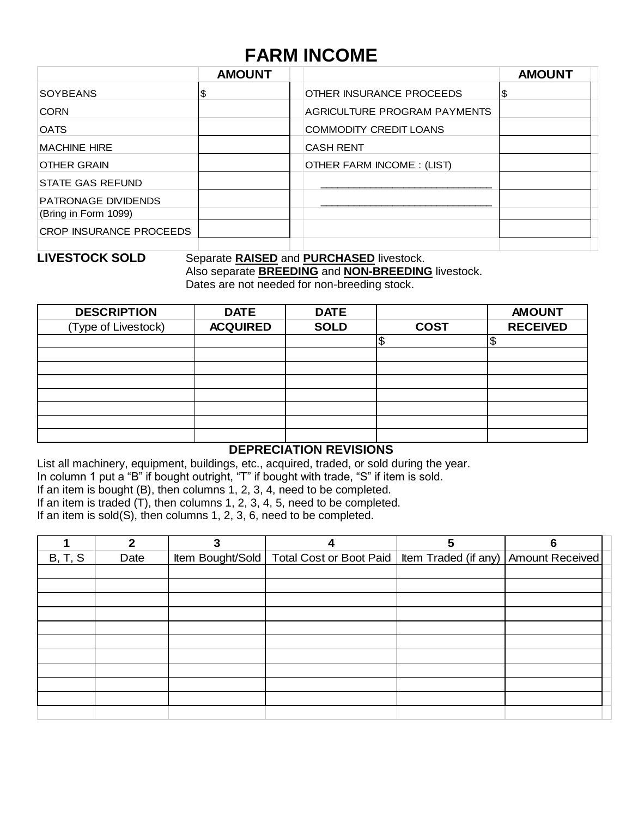# **FARM INCOME**

|                                | <b>AMOUNT</b> |                               | <b>AMOUNT</b> |
|--------------------------------|---------------|-------------------------------|---------------|
| <b>SOYBEANS</b>                | \$            | OTHER INSURANCE PROCEEDS      |               |
| <b>CORN</b>                    |               | AGRICULTURE PROGRAM PAYMENTS  |               |
| <b>OATS</b>                    |               | <b>COMMODITY CREDIT LOANS</b> |               |
| <b>MACHINE HIRE</b>            |               | <b>CASH RENT</b>              |               |
| <b>OTHER GRAIN</b>             |               | OTHER FARM INCOME: (LIST)     |               |
| <b>STATE GAS REFUND</b>        |               |                               |               |
| <b>PATRONAGE DIVIDENDS</b>     |               |                               |               |
| (Bring in Form 1099)           |               |                               |               |
| <b>CROP INSURANCE PROCEEDS</b> |               |                               |               |
|                                |               |                               |               |

### **LIVESTOCK SOLD** Separate **RAISED** and **PURCHASED** livestock. Also separate **BREEDING** and **NON-BREEDING** livestock.

Dates are not needed for non-breeding stock.

| <b>DESCRIPTION</b>  | <b>DATE</b>     | <b>DATE</b> |             | <b>AMOUNT</b>   |
|---------------------|-----------------|-------------|-------------|-----------------|
| (Type of Livestock) | <b>ACQUIRED</b> | <b>SOLD</b> | <b>COST</b> | <b>RECEIVED</b> |
|                     |                 |             | \$          | œ<br>₽          |
|                     |                 |             |             |                 |
|                     |                 |             |             |                 |
|                     |                 |             |             |                 |
|                     |                 |             |             |                 |
|                     |                 |             |             |                 |
|                     |                 |             |             |                 |
|                     |                 |             |             |                 |

#### **DEPRECIATION REVISIONS**

List all machinery, equipment, buildings, etc., acquired, traded, or sold during the year.

In column 1 put a "B" if bought outright, "T" if bought with trade, "S" if item is sold.

If an item is bought (B), then columns 1, 2, 3, 4, need to be completed.

If an item is traded (T), then columns 1, 2, 3, 4, 5, need to be completed.

If an item is sold(S), then columns 1, 2, 3, 6, need to be completed.

|         | 2    |                                                                                     | 5 | 6 |  |
|---------|------|-------------------------------------------------------------------------------------|---|---|--|
| B, T, S | Date | Item Bought/Sold   Total Cost or Boot Paid   Item Traded (if any)   Amount Received |   |   |  |
|         |      |                                                                                     |   |   |  |
|         |      |                                                                                     |   |   |  |
|         |      |                                                                                     |   |   |  |
|         |      |                                                                                     |   |   |  |
|         |      |                                                                                     |   |   |  |
|         |      |                                                                                     |   |   |  |
|         |      |                                                                                     |   |   |  |
|         |      |                                                                                     |   |   |  |
|         |      |                                                                                     |   |   |  |
|         |      |                                                                                     |   |   |  |
|         |      |                                                                                     |   |   |  |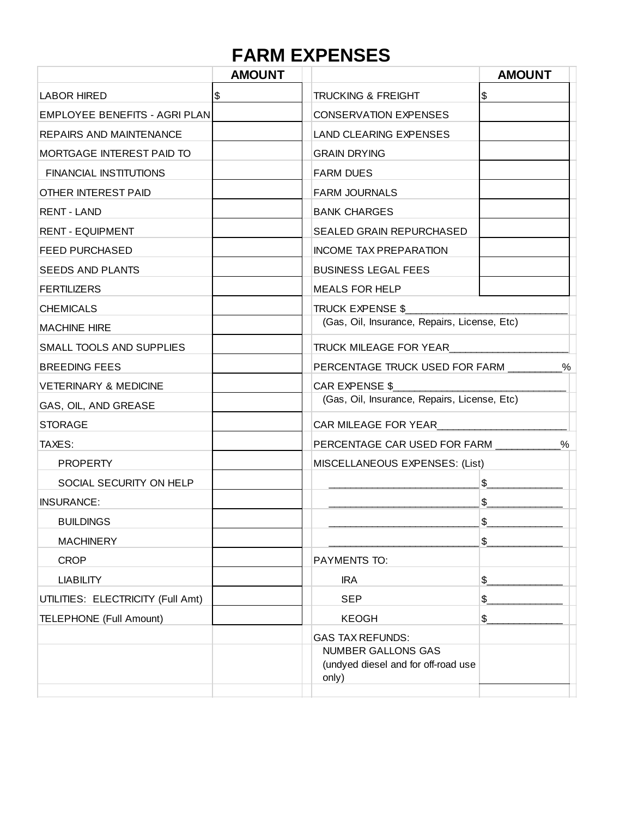# **FARM EXPENSES**

|                                   | <b>AMOUNT</b> |                                                                           | <b>AMOUNT</b> |
|-----------------------------------|---------------|---------------------------------------------------------------------------|---------------|
| <b>LABOR HIRED</b>                | $\sqrt{3}$    | <b>TRUCKING &amp; FREIGHT</b>                                             | \$            |
| EMPLOYEE BENEFITS - AGRI PLAN     |               | <b>CONSERVATION EXPENSES</b>                                              |               |
| REPAIRS AND MAINTENANCE           |               | <b>LAND CLEARING EXPENSES</b>                                             |               |
| <b>MORTGAGE INTEREST PAID TO</b>  |               | <b>GRAIN DRYING</b>                                                       |               |
| <b>FINANCIAL INSTITUTIONS</b>     |               | <b>FARM DUES</b>                                                          |               |
| OTHER INTEREST PAID               |               | <b>FARM JOURNALS</b>                                                      |               |
| <b>RENT - LAND</b>                |               | <b>BANK CHARGES</b>                                                       |               |
| <b>RENT - EQUIPMENT</b>           |               | <b>SEALED GRAIN REPURCHASED</b>                                           |               |
| <b>FEED PURCHASED</b>             |               | <b>INCOME TAX PREPARATION</b>                                             |               |
| <b>SEEDS AND PLANTS</b>           |               | <b>BUSINESS LEGAL FEES</b>                                                |               |
| <b>FERTILIZERS</b>                |               | <b>MEALS FOR HELP</b>                                                     |               |
| <b>CHEMICALS</b>                  |               | <b>TRUCK EXPENSE \$</b>                                                   |               |
| <b>MACHINE HIRE</b>               |               | (Gas, Oil, Insurance, Repairs, License, Etc)                              |               |
| SMALL TOOLS AND SUPPLIES          |               | TRUCK MILEAGE FOR YEAR                                                    |               |
| <b>BREEDING FEES</b>              |               | PERCENTAGE TRUCK USED FOR FARM ________<br>%                              |               |
| <b>VETERINARY &amp; MEDICINE</b>  |               | CAR EXPENSE \$                                                            |               |
| GAS, OIL, AND GREASE              |               | (Gas, Oil, Insurance, Repairs, License, Etc)                              |               |
| <b>STORAGE</b>                    |               | CAR MILEAGE FOR YEAR                                                      |               |
| TAXES:                            |               | PERCENTAGE CAR USED FOR FARM<br>%                                         |               |
| <b>PROPERTY</b>                   |               | MISCELLANEOUS EXPENSES: (List)                                            |               |
| SOCIAL SECURITY ON HELP           |               |                                                                           | \$            |
| INSURANCE:                        |               |                                                                           | $\frac{1}{2}$ |
| <b>BUILDINGS</b>                  |               |                                                                           | \$            |
| <b>MACHINERY</b>                  |               |                                                                           | \$            |
| <b>CROP</b>                       |               | PAYMENTS TO:                                                              |               |
| <b>LIABILITY</b>                  |               | <b>IRA</b>                                                                | $\frac{1}{2}$ |
| UTILITIES: ELECTRICITY (Full Amt) |               | <b>SEP</b>                                                                | \$            |
| <b>TELEPHONE (Full Amount)</b>    |               | <b>KEOGH</b>                                                              | \$            |
|                                   |               | <b>GAS TAX REFUNDS:</b>                                                   |               |
|                                   |               | <b>NUMBER GALLONS GAS</b><br>(undyed diesel and for off-road use<br>only) |               |
|                                   |               |                                                                           |               |